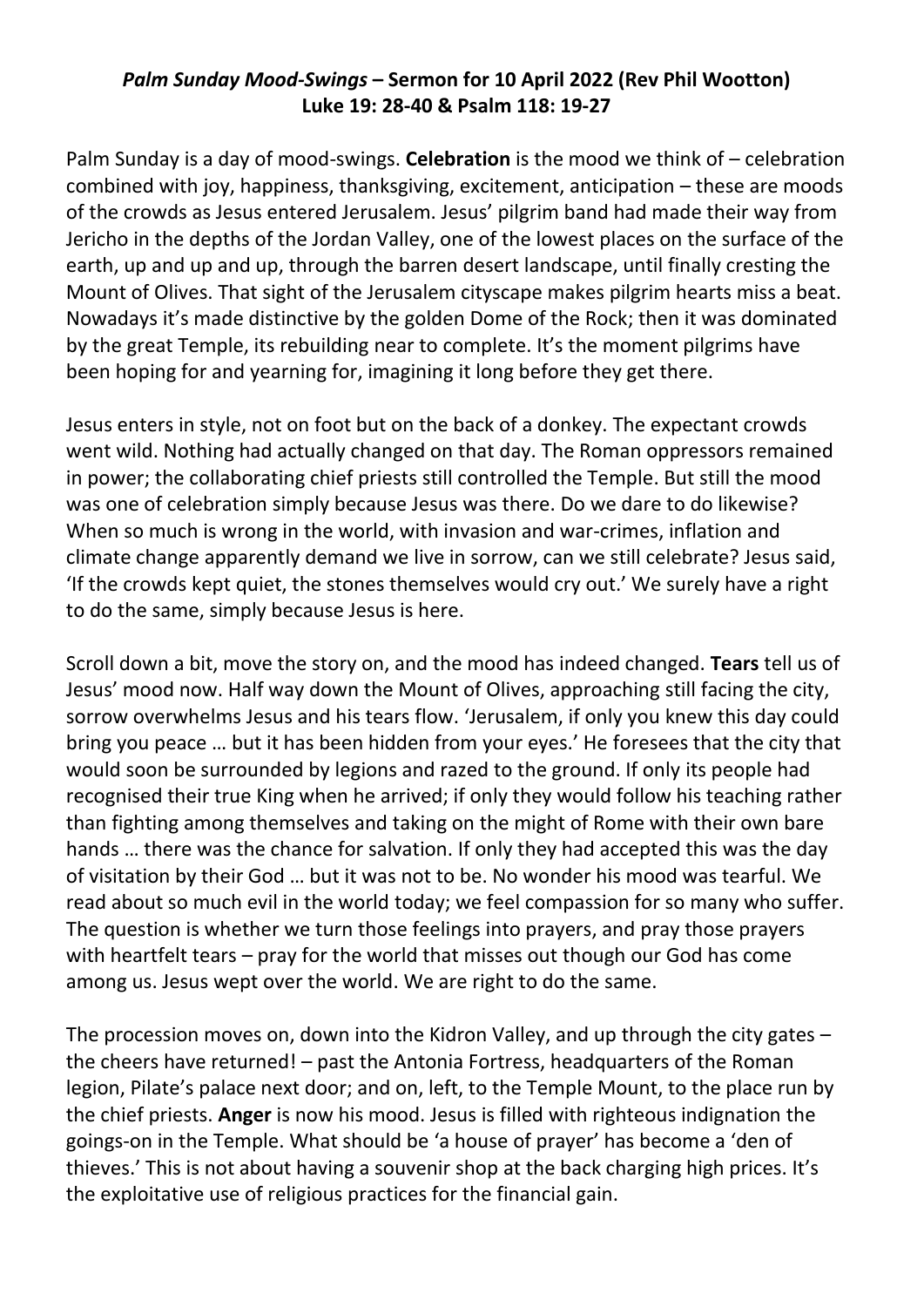## *Palm Sunday Mood-Swings* **– Sermon for 10 April 2022 (Rev Phil Wootton) Luke 19: 28-40 & Psalm 118: 19-27**

Palm Sunday is a day of mood-swings. **Celebration** is the mood we think of – celebration combined with joy, happiness, thanksgiving, excitement, anticipation – these are moods of the crowds as Jesus entered Jerusalem. Jesus' pilgrim band had made their way from Jericho in the depths of the Jordan Valley, one of the lowest places on the surface of the earth, up and up and up, through the barren desert landscape, until finally cresting the Mount of Olives. That sight of the Jerusalem cityscape makes pilgrim hearts miss a beat. Nowadays it's made distinctive by the golden Dome of the Rock; then it was dominated by the great Temple, its rebuilding near to complete. It's the moment pilgrims have been hoping for and yearning for, imagining it long before they get there.

Jesus enters in style, not on foot but on the back of a donkey. The expectant crowds went wild. Nothing had actually changed on that day. The Roman oppressors remained in power; the collaborating chief priests still controlled the Temple. But still the mood was one of celebration simply because Jesus was there. Do we dare to do likewise? When so much is wrong in the world, with invasion and war-crimes, inflation and climate change apparently demand we live in sorrow, can we still celebrate? Jesus said, 'If the crowds kept quiet, the stones themselves would cry out.' We surely have a right to do the same, simply because Jesus is here.

Scroll down a bit, move the story on, and the mood has indeed changed. **Tears** tell us of Jesus' mood now. Half way down the Mount of Olives, approaching still facing the city, sorrow overwhelms Jesus and his tears flow. 'Jerusalem, if only you knew this day could bring you peace … but it has been hidden from your eyes.' He foresees that the city that would soon be surrounded by legions and razed to the ground. If only its people had recognised their true King when he arrived; if only they would follow his teaching rather than fighting among themselves and taking on the might of Rome with their own bare hands … there was the chance for salvation. If only they had accepted this was the day of visitation by their God … but it was not to be. No wonder his mood was tearful. We read about so much evil in the world today; we feel compassion for so many who suffer. The question is whether we turn those feelings into prayers, and pray those prayers with heartfelt tears – pray for the world that misses out though our God has come among us. Jesus wept over the world. We are right to do the same.

The procession moves on, down into the Kidron Valley, and up through the city gates – the cheers have returned! – past the Antonia Fortress, headquarters of the Roman legion, Pilate's palace next door; and on, left, to the Temple Mount, to the place run by the chief priests. **Anger** is now his mood. Jesus is filled with righteous indignation the goings-on in the Temple. What should be 'a house of prayer' has become a 'den of thieves.' This is not about having a souvenir shop at the back charging high prices. It's the exploitative use of religious practices for the financial gain.